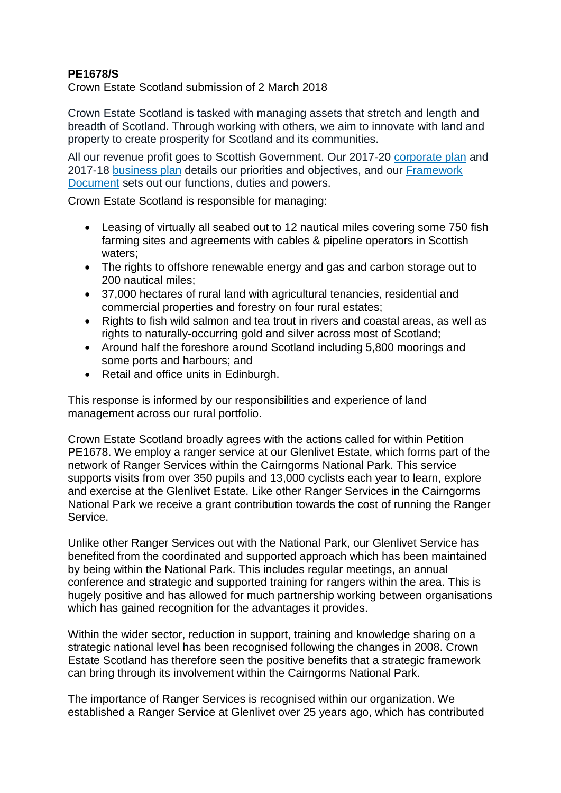## **PE1678/S**

Crown Estate Scotland submission of 2 March 2018

Crown Estate Scotland is tasked with managing assets that stretch and length and breadth of Scotland. Through working with others, we aim to innovate with land and property to create prosperity for Scotland and its communities.

All our revenue profit goes to Scottish Government. Our 2017-20 [corporate](http://www.crownestatescotland.com/maps-and-publications/download/115) plan and 2017-18 [business](http://www.crownestatescotland.com/maps-and-publications/download/83) plan details our priorities and objectives, and our [Framework](http://www.crownestatescotland.com/maps-and-publications/download/107) [Document](http://www.crownestatescotland.com/maps-and-publications/download/107) sets out our functions, duties and powers.

Crown Estate Scotland is responsible for managing:

- Leasing of virtually all seabed out to 12 nautical miles covering some 750 fish farming sites and agreements with cables & pipeline operators in Scottish waters;
- The rights to offshore renewable energy and gas and carbon storage out to 200 nautical miles;
- 37,000 hectares of rural land with agricultural tenancies, residential and commercial properties and forestry on four rural estates;
- Rights to fish wild salmon and tea trout in rivers and coastal areas, as well as rights to naturally-occurring gold and silver across most of Scotland;
- Around half the foreshore around Scotland including 5,800 moorings and some ports and harbours; and
- Retail and office units in Edinburgh.

This response is informed by our responsibilities and experience of land management across our rural portfolio.

Crown Estate Scotland broadly agrees with the actions called for within Petition PE1678. We employ a ranger service at our Glenlivet Estate, which forms part of the network of Ranger Services within the Cairngorms National Park. This service supports visits from over 350 pupils and 13,000 cyclists each year to learn, explore and exercise at the Glenlivet Estate. Like other Ranger Services in the Cairngorms National Park we receive a grant contribution towards the cost of running the Ranger Service.

Unlike other Ranger Services out with the National Park, our Glenlivet Service has benefited from the coordinated and supported approach which has been maintained by being within the National Park. This includes regular meetings, an annual conference and strategic and supported training for rangers within the area. This is hugely positive and has allowed for much partnership working between organisations which has gained recognition for the advantages it provides.

Within the wider sector, reduction in support, training and knowledge sharing on a strategic national level has been recognised following the changes in 2008. Crown Estate Scotland has therefore seen the positive benefits that a strategic framework can bring through its involvement within the Cairngorms National Park.

The importance of Ranger Services is recognised within our organization. We established a Ranger Service at Glenlivet over 25 years ago, which has contributed